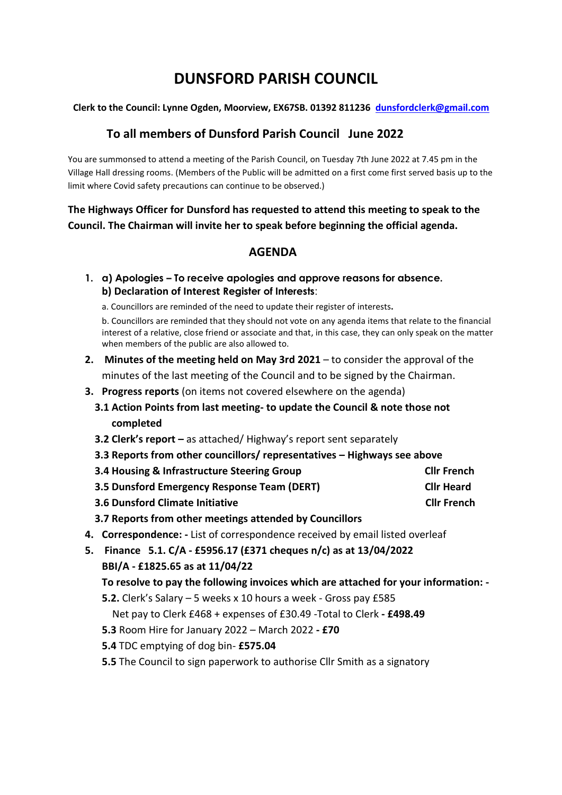# **DUNSFORD PARISH COUNCIL**

#### **Clerk to the Council: Lynne Ogden, Moorview, EX67SB. 01392 811236 [dunsfordclerk@gmail.com](mailto:dunsfordclerk@gmail.com)**

## **To all members of Dunsford Parish Council June 2022**

You are summonsed to attend a meeting of the Parish Council, on Tuesday 7th June 2022 at 7.45 pm in the Village Hall dressing rooms. (Members of the Public will be admitted on a first come first served basis up to the limit where Covid safety precautions can continue to be observed.)

**The Highways Officer for Dunsford has requested to attend this meeting to speak to the Council. The Chairman will invite her to speak before beginning the official agenda.**

## **AGENDA**

**1. a) Apologies – To receive apologies and approve reasons for absence. b) Declaration of Interest Register of Interests**:

a. Councillors are reminded of the need to update their register of interests**.** 

b. Councillors are reminded that they should not vote on any agenda items that relate to the financial interest of a relative, close friend or associate and that, in this case, they can only speak on the matter when members of the public are also allowed to.

- **2. Minutes of the meeting held on May 3rd 2021** to consider the approval of the minutes of the last meeting of the Council and to be signed by the Chairman.
- **3. Progress reports** (on items not covered elsewhere on the agenda)
	- **3.1 Action Points from last meeting- to update the Council & note those not completed**
	- **3.2 Clerk's report –** as attached/ Highway's report sent separately
	- **3.3 Reports from other councillors/ representatives – Highways see above**
	- **3.4 Housing & Infrastructure Steering Group Cllr French**
	- **3.5 Dunsford Emergency Response Team (DERT) Cllr Heard**
	- **3.6** Dunsford Climate Initiative Climate Climate Climate Climate Climate Climate Climate Climate Climate Climate Climate Climate Climate Climate Climate Climate Climate Climate Climate Climate Climate Climate Climate Clim
	- **3.7 Reports from other meetings attended by Councillors**
- **4. Correspondence: -** List of correspondence received by email listed overleaf
- **5. Finance 5.1. C/A - £5956.17 (£371 cheques n/c) as at 13/04/2022 BBI/A - £1825.65 as at 11/04/22 To resolve to pay the following invoices which are attached for your information: - 5.2.** Clerk's Salary – 5 weeks x 10 hours a week - Gross pay £585
	- Net pay to Clerk £468 + expenses of £30.49 -Total to Clerk **- £498.49**
	- **5.3** Room Hire for January 2022 March 2022 **- £70**
	- **5.4** TDC emptying of dog bin- **£575.04**
	- **5.5** The Council to sign paperwork to authorise Cllr Smith as a signatory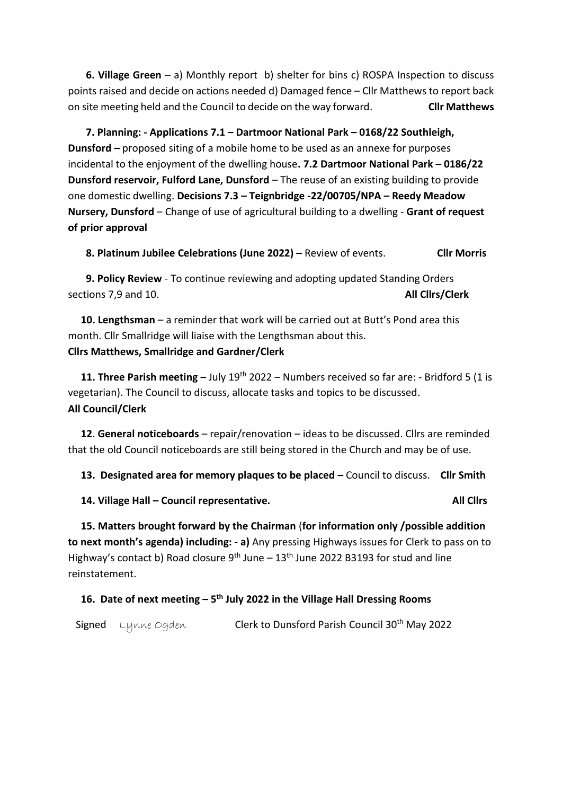**6. Village Green** – a) Monthly report b) shelter for bins c) ROSPA Inspection to discuss points raised and decide on actions needed d) Damaged fence – Cllr Matthews to report back on site meeting held and the Council to decide on the way forward. **Cllr Matthews**

 **7. Planning: - Applications 7.1 – Dartmoor National Park – 0168/22 Southleigh, Dunsford –** proposed siting of a mobile home to be used as an annexe for purposes incidental to the enjoyment of the dwelling house**. 7.2 Dartmoor National Park – 0186/22 Dunsford reservoir, Fulford Lane, Dunsford** – The reuse of an existing building to provide one domestic dwelling. **Decisions 7.3 – Teignbridge -22/00705/NPA – Reedy Meadow Nursery, Dunsford** – Change of use of agricultural building to a dwelling - **Grant of request of prior approval**

 **8. Platinum Jubilee Celebrations (June 2022) –** Review of events. **Cllr Morris**

 **9. Policy Review** - To continue reviewing and adopting updated Standing Orders sections 7,9 and 10. **All Cllrs/Clerk**

 **10. Lengthsman** – a reminder that work will be carried out at Butt's Pond area this month. Cllr Smallridge will liaise with the Lengthsman about this. **Cllrs Matthews, Smallridge and Gardner/Clerk** 

 **11. Three Parish meeting –** July 19th 2022 – Numbers received so far are: - Bridford 5 (1 is vegetarian). The Council to discuss, allocate tasks and topics to be discussed. **All Council/Clerk**

 **12**. **General noticeboards** – repair/renovation – ideas to be discussed. Cllrs are reminded that the old Council noticeboards are still being stored in the Church and may be of use.

**13. Designated area for memory plaques to be placed –** Council to discuss. **Cllr Smith** 

**14. Village Hall – Council representative. All Cllrs**

 **15. Matters brought forward by the Chairman** (**for information only /possible addition to next month's agenda) including: - a)** Any pressing Highways issues for Clerk to pass on to Highway's contact b) Road closure  $9^{th}$  June –  $13^{th}$  June 2022 B3193 for stud and line reinstatement.

#### **16. Date of next meeting – 5 th July 2022 in the Village Hall Dressing Rooms**

Signed Lynne Ogden Clerk to Dunsford Parish Council 30<sup>th</sup> May 2022